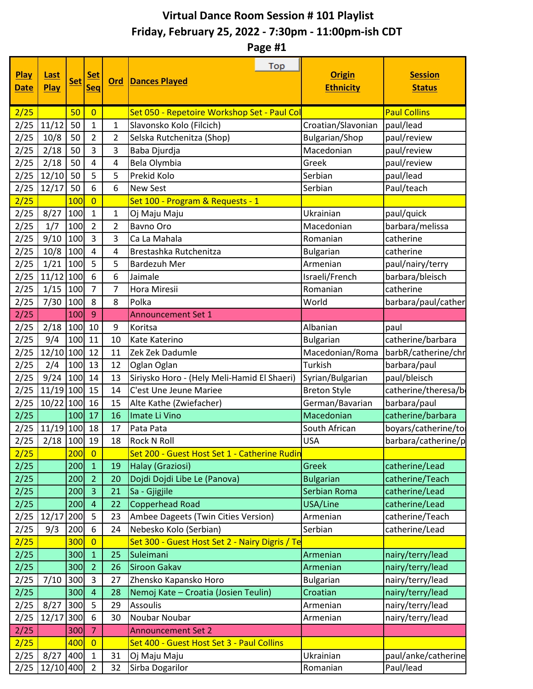## **Virtual Dance Room Session # 101 Playlist Friday, February 25, 2022 - 7:30pm - 11:00pm-ish CDT**

**Page #1**

| <b>Play</b><br><b>Date</b> | <b>Last</b><br><b>Play</b> | <b>Set</b> | <u>Set</u><br><b>Seq</b> | <b>Ord</b>     | Top<br><b>Dances Played</b>                    | <b>Origin</b><br><b>Ethnicity</b> | <b>Session</b><br><b>Status</b> |
|----------------------------|----------------------------|------------|--------------------------|----------------|------------------------------------------------|-----------------------------------|---------------------------------|
| 2/25                       |                            | 50         | $\overline{0}$           |                | Set 050 - Repetoire Workshop Set - Paul Col    |                                   | <b>Paul Collins</b>             |
| 2/25                       | 11/12                      | 50         | $\mathbf{1}$             | 1              | Slavonsko Kolo (Filcich)                       | Croatian/Slavonian                | paul/lead                       |
| 2/25                       | 10/8                       | 50         | $\overline{2}$           | $\overline{2}$ | Selska Rutchenitza (Shop)                      | <b>Bulgarian/Shop</b>             | paul/review                     |
| 2/25                       | 2/18                       | 50         | 3                        | 3              | Baba Djurdja                                   | Macedonian                        | paul/review                     |
| 2/25                       | 2/18                       | 50         | 4                        | 4              | Bela Olymbia                                   | Greek                             | paul/review                     |
| 2/25                       | 12/10                      | 50         | 5                        | 5              | Prekid Kolo                                    | Serbian                           | paul/lead                       |
| 2/25                       | 12/17                      | 50         | 6                        | 6              | <b>New Sest</b>                                | Serbian                           | Paul/teach                      |
| 2/25                       |                            | 100        | $\overline{0}$           |                | Set 100 - Program & Requests - 1               |                                   |                                 |
| 2/25                       | 8/27                       | 100        | $\mathbf{1}$             | 1              | Oj Maju Maju                                   | Ukrainian                         | paul/quick                      |
| 2/25                       | 1/7                        | 100        | $\overline{2}$           | $\overline{2}$ | <b>Bavno Oro</b>                               | Macedonian                        | barbara/melissa                 |
| 2/25                       | 9/10                       | 100        | 3                        | 3              | Ca La Mahala                                   | Romanian                          | catherine                       |
| 2/25                       | 10/8                       | 100        | 4                        | 4              | Brestashka Rutchenitza                         | <b>Bulgarian</b>                  | catherine                       |
| 2/25                       | 1/21                       | 100        | 5                        | 5              | Bardezuh Mer                                   | Armenian                          | paul/nairy/terry                |
| 2/25                       | 11/12                      | 100        | 6                        | 6              | Jaimale                                        | Israeli/French                    | barbara/bleisch                 |
| 2/25                       | 1/15                       | 100        | $\overline{7}$           | 7              | Hora Miresii                                   | Romanian                          | catherine                       |
| 2/25                       | 7/30                       | 100        | 8                        | 8              | Polka                                          | World                             | barbara/paul/cather             |
| 2/25                       |                            | 100        | 9                        |                | <b>Announcement Set 1</b>                      |                                   |                                 |
| 2/25                       | 2/18                       | 100        | 10                       | 9              | Koritsa                                        | Albanian                          | paul                            |
| 2/25                       | 9/4                        | 100        | 11                       | 10             | Kate Katerino                                  | <b>Bulgarian</b>                  | catherine/barbara               |
| 2/25                       | 12/10                      | 100        | 12                       | 11             | Zek Zek Dadumle                                | Macedonian/Roma                   | barbR/catherine/chr             |
| 2/25                       | 2/4                        | 100        | 13                       | 12             | Oglan Oglan                                    | Turkish                           | barbara/paul                    |
| 2/25                       | 9/24                       | 100        | 14                       | 13             | Siriysko Horo - (Hely Meli-Hamid El Shaeri)    | Syrian/Bulgarian                  | paul/bleisch                    |
| 2/25                       | $11/19$ 100                |            | 15                       | 14             | C'est Une Jeune Mariee                         | <b>Breton Style</b>               | catherine/theresa/b             |
| 2/25                       | 10/22 100                  |            | 16                       | 15             | Alte Kathe (Zwiefacher)                        | German/Bavarian                   | barbara/paul                    |
| 2/25                       |                            | 100        | 17                       | 16             | Imate Li Vino                                  | Macedonian                        | catherine/barbara               |
| 2/25                       | $11/19$ 100                |            | 18                       | 17             | Pata Pata                                      | South African                     | boyars/catherine/to             |
| 2/25                       | $2/18$ 100                 |            | 19                       | 18             | <b>Rock N Roll</b>                             | <b>USA</b>                        | barbara/catherine/p             |
| 2/25                       |                            | 200        | $\overline{0}$           |                | Set 200 - Guest Host Set 1 - Catherine Rudin   |                                   |                                 |
| 2/25                       |                            | 200        | $\mathbf{1}$             | 19             | Halay (Graziosi)                               | Greek                             | catherine/Lead                  |
| 2/25                       |                            | 200        | $\overline{2}$           | 20             | Dojdi Dojdi Libe Le (Panova)                   | <b>Bulgarian</b>                  | catherine/Teach                 |
| 2/25                       |                            | 200        | $\overline{3}$           | 21             | Sa - Gjigjile                                  | Serbian Roma                      | catherine/Lead                  |
| 2/25                       |                            | 200        | $\overline{4}$           | 22             | <b>Copperhead Road</b>                         | USA/Line                          | catherine/Lead                  |
| 2/25                       | 12/17                      | 200        | 5                        | 23             | Ambee Dageets (Twin Cities Version)            | Armenian                          | catherine/Teach                 |
| 2/25                       | 9/3                        | 200        | 6                        | 24             | Nebesko Kolo (Serbian)                         | Serbian                           | catherine/Lead                  |
| 2/25                       |                            | 300        | $\overline{0}$           |                | Set 300 - Guest Host Set 2 - Nairy Digris / Te |                                   |                                 |
| 2/25                       |                            | 300        | $\mathbf{1}$             | 25             | Suleimani                                      | Armenian                          | nairy/terry/lead                |
| 2/25                       |                            | 300        | $\overline{2}$           | 26             | <b>Siroon Gakav</b>                            | Armenian                          | nairy/terry/lead                |
| 2/25                       | 7/10                       | 300        | 3                        | 27             | Zhensko Kapansko Horo                          | <b>Bulgarian</b>                  | nairy/terry/lead                |
| 2/25                       |                            | 300        | $\overline{4}$           | 28             | Nemoj Kate - Croatia (Josien Teulin)           | Croatian                          | nairy/terry/lead                |
| 2/25                       | 8/27                       | 300        | 5                        | 29             | Assoulis                                       | Armenian                          | nairy/terry/lead                |
| 2/25                       | 12/17                      | 300        | 6                        | 30             | Noubar Noubar                                  | Armenian                          | nairy/terry/lead                |
| 2/25                       |                            | 300        | 7                        |                | <b>Announcement Set 2</b>                      |                                   |                                 |
| 2/25                       |                            | 400        | $\overline{0}$           |                | Set 400 - Guest Host Set 3 - Paul Collins      |                                   |                                 |
| 2/25                       | 8/27                       | 400        | $\mathbf{1}$             | 31             | Oj Maju Maju                                   | Ukrainian                         | paul/anke/catherine             |
| 2/25                       | $12/10$ 400                |            | $\overline{2}$           | 32             | Sirba Dogarilor                                | Romanian                          | Paul/lead                       |